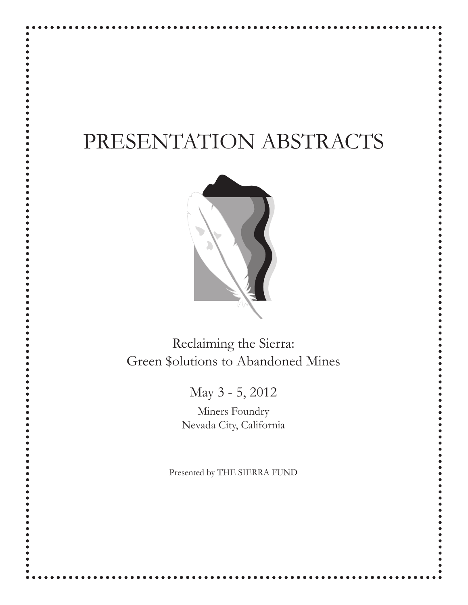# PRESENTATION ABSTRACTS



Reclaiming the Sierra: Green \$olutions to Abandoned Mines

May 3 - 5, 2012

Miners Foundry Nevada City, California

Presented by THE SIERRA FUND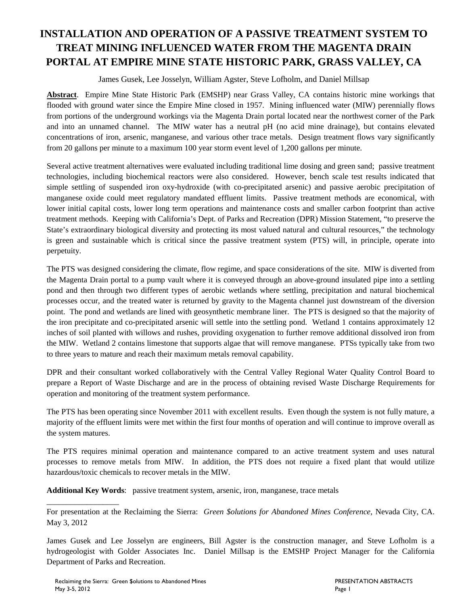## **INSTALLATION AND OPERATION OF A PASSIVE TREATMENT SYSTEM TO TREAT MINING INFLUENCED WATER FROM THE MAGENTA DRAIN PORTAL AT EMPIRE MINE STATE HISTORIC PARK, GRASS VALLEY, CA**

James Gusek, Lee Josselyn, William Agster, Steve Lofholm, and Daniel Millsap

**Abstract**. Empire Mine State Historic Park (EMSHP) near Grass Valley, CA contains historic mine workings that flooded with ground water since the Empire Mine closed in 1957. Mining influenced water (MIW) perennially flows from portions of the underground workings via the Magenta Drain portal located near the northwest corner of the Park and into an unnamed channel. The MIW water has a neutral pH (no acid mine drainage), but contains elevated concentrations of iron, arsenic, manganese, and various other trace metals. Design treatment flows vary significantly from 20 gallons per minute to a maximum 100 year storm event level of 1,200 gallons per minute.

Several active treatment alternatives were evaluated including traditional lime dosing and green sand; passive treatment technologies, including biochemical reactors were also considered. However, bench scale test results indicated that simple settling of suspended iron oxy-hydroxide (with co-precipitated arsenic) and passive aerobic precipitation of manganese oxide could meet regulatory mandated effluent limits. Passive treatment methods are economical, with lower initial capital costs, lower long term operations and maintenance costs and smaller carbon footprint than active treatment methods. Keeping with California's Dept. of Parks and Recreation (DPR) Mission Statement, "to preserve the State's extraordinary biological diversity and protecting its most valued natural and cultural resources," the technology is green and sustainable which is critical since the passive treatment system (PTS) will, in principle, operate into perpetuity.

The PTS was designed considering the climate, flow regime, and space considerations of the site. MIW is diverted from the Magenta Drain portal to a pump vault where it is conveyed through an above-ground insulated pipe into a settling pond and then through two different types of aerobic wetlands where settling, precipitation and natural biochemical processes occur, and the treated water is returned by gravity to the Magenta channel just downstream of the diversion point. The pond and wetlands are lined with geosynthetic membrane liner. The PTS is designed so that the majority of the iron precipitate and co-precipitated arsenic will settle into the settling pond. Wetland 1 contains approximately 12 inches of soil planted with willows and rushes, providing oxygenation to further remove additional dissolved iron from the MIW. Wetland 2 contains limestone that supports algae that will remove manganese. PTSs typically take from two to three years to mature and reach their maximum metals removal capability.

DPR and their consultant worked collaboratively with the Central Valley Regional Water Quality Control Board to prepare a Report of Waste Discharge and are in the process of obtaining revised Waste Discharge Requirements for operation and monitoring of the treatment system performance.

The PTS has been operating since November 2011 with excellent results. Even though the system is not fully mature, a majority of the effluent limits were met within the first four months of operation and will continue to improve overall as the system matures.

The PTS requires minimal operation and maintenance compared to an active treatment system and uses natural processes to remove metals from MIW. In addition, the PTS does not require a fixed plant that would utilize hazardous/toxic chemicals to recover metals in the MIW.

**Additional Key Words**: passive treatment system, arsenic, iron, manganese, trace metals

For presentation at the Reclaiming the Sierra: *Green \$olutions for Abandoned Mines Conference*, Nevada City, CA. May 3, 2012

James Gusek and Lee Josselyn are engineers, Bill Agster is the construction manager, and Steve Lofholm is a hydrogeologist with Golder Associates Inc. Daniel Millsap is the EMSHP Project Manager for the California Department of Parks and Recreation.

\_\_\_\_\_\_\_\_\_\_\_\_\_\_\_\_\_\_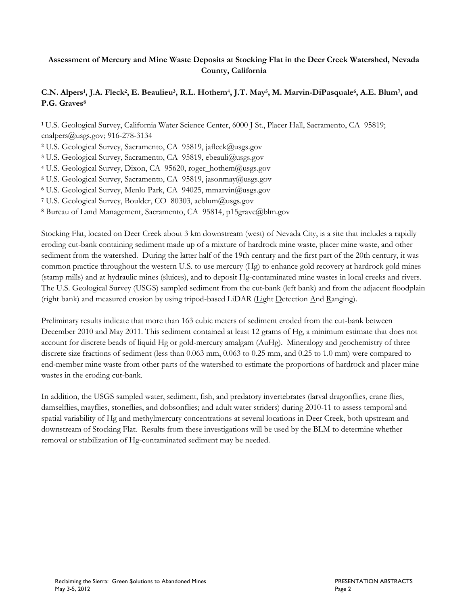## **Assessment of Mercury and Mine Waste Deposits at Stocking Flat in the Deer Creek Watershed, Nevada County, California**

## **C.N. Alpers<sup>1</sup> , J.A. Fleck<sup>2</sup> , E. Beaulieu<sup>3</sup> , R.L. Hothem<sup>4</sup> , J.T. May<sup>5</sup> , M. Marvin-DiPasquale<sup>6</sup> , A.E. Blum<sup>7</sup> , and P.G. Graves<sup>8</sup>**

**<sup>1</sup>** U.S. Geological Survey, California Water Science Center, 6000 J St., Placer Hall, Sacramento, CA 95819; cnalpers@usgs.gov; 916-278-3134

- **<sup>2</sup>** U.S. Geological Survey, Sacramento, CA 95819, jafleck@usgs.gov
- **<sup>3</sup>** U.S. Geological Survey, Sacramento, CA 95819, ebeauli@usgs.gov
- **<sup>4</sup>** U.S. Geological Survey, Dixon, CA 95620, roger\_hothem@usgs.gov
- **<sup>5</sup>** U.S. Geological Survey, Sacramento, CA 95819, jasonmay@usgs.gov
- **<sup>6</sup>** U.S. Geological Survey, Menlo Park, CA 94025, [mmarvin@usgs.gov](mailto:mmarvin@usgs.gov)
- **<sup>7</sup>** U.S. Geological Survey, Boulder, CO 80303, aeblum@usgs.gov
- **<sup>8</sup>** Bureau of Land Management, Sacramento, CA 95814, p15grave@blm.gov

Stocking Flat, located on Deer Creek about 3 km downstream (west) of Nevada City, is a site that includes a rapidly eroding cut-bank containing sediment made up of a mixture of hardrock mine waste, placer mine waste, and other sediment from the watershed. During the latter half of the 19th century and the first part of the 20th century, it was common practice throughout the western U.S. to use mercury (Hg) to enhance gold recovery at hardrock gold mines (stamp mills) and at hydraulic mines (sluices), and to deposit Hg-contaminated mine wastes in local creeks and rivers. The U.S. Geological Survey (USGS) sampled sediment from the cut-bank (left bank) and from the adjacent floodplain (right bank) and measured erosion by using tripod-based LiDAR (Light Detection And Ranging).

Preliminary results indicate that more than 163 cubic meters of sediment eroded from the cut-bank between December 2010 and May 2011. This sediment contained at least 12 grams of Hg, a minimum estimate that does not account for discrete beads of liquid Hg or gold-mercury amalgam (AuHg). Mineralogy and geochemistry of three discrete size fractions of sediment (less than 0.063 mm, 0.063 to 0.25 mm, and 0.25 to 1.0 mm) were compared to end-member mine waste from other parts of the watershed to estimate the proportions of hardrock and placer mine wastes in the eroding cut-bank.

In addition, the USGS sampled water, sediment, fish, and predatory invertebrates (larval dragonflies, crane flies, damselflies, mayflies, stoneflies, and dobsonflies; and adult water striders) during 2010-11 to assess temporal and spatial variability of Hg and methylmercury concentrations at several locations in Deer Creek, both upstream and downstream of Stocking Flat. Results from these investigations will be used by the BLM to determine whether removal or stabilization of Hg-contaminated sediment may be needed.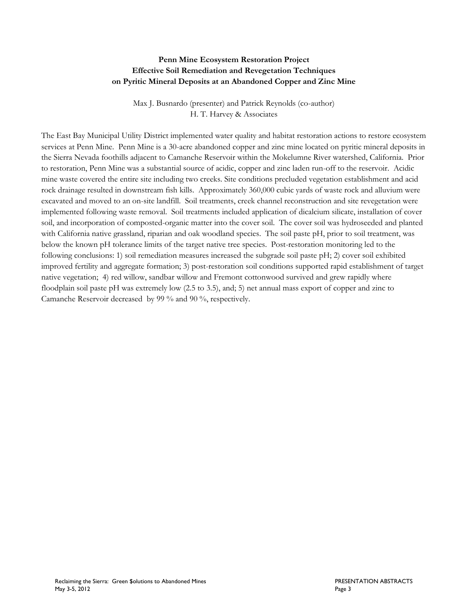## **Penn Mine Ecosystem Restoration Project Effective Soil Remediation and Revegetation Techniques on Pyritic Mineral Deposits at an Abandoned Copper and Zinc Mine**

Max J. Busnardo (presenter) and Patrick Reynolds (co-author) H. T. Harvey & Associates

The East Bay Municipal Utility District implemented water quality and habitat restoration actions to restore ecosystem services at Penn Mine. Penn Mine is a 30-acre abandoned copper and zinc mine located on pyritic mineral deposits in the Sierra Nevada foothills adjacent to Camanche Reservoir within the Mokelumne River watershed, California. Prior to restoration, Penn Mine was a substantial source of acidic, copper and zinc laden run-off to the reservoir. Acidic mine waste covered the entire site including two creeks. Site conditions precluded vegetation establishment and acid rock drainage resulted in downstream fish kills. Approximately 360,000 cubic yards of waste rock and alluvium were excavated and moved to an on-site landfill. Soil treatments, creek channel reconstruction and site revegetation were implemented following waste removal. Soil treatments included application of dicalcium silicate, installation of cover soil, and incorporation of composted-organic matter into the cover soil. The cover soil was hydroseeded and planted with California native grassland, riparian and oak woodland species. The soil paste pH, prior to soil treatment, was below the known pH tolerance limits of the target native tree species. Post-restoration monitoring led to the following conclusions: 1) soil remediation measures increased the subgrade soil paste pH; 2) cover soil exhibited improved fertility and aggregate formation; 3) post-restoration soil conditions supported rapid establishment of target native vegetation; 4) red willow, sandbar willow and Fremont cottonwood survived and grew rapidly where floodplain soil paste pH was extremely low (2.5 to 3.5), and; 5) net annual mass export of copper and zinc to Camanche Reservoir decreased by 99 % and 90 %, respectively.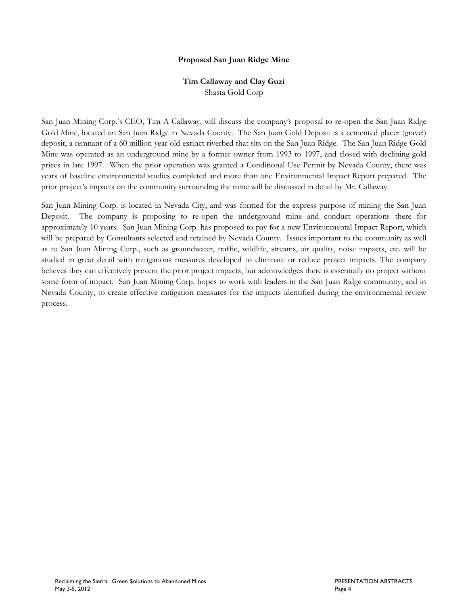#### **Proposed San Juan Ridge Mine**

## **Tim Callaway and Clay Guzi**

Shasta Gold Corp

San Juan Mining Corp.'s CEO, Tim A Callaway, will discuss the company's proposal to re-open the San Juan Ridge Gold Mine, located on San Juan Ridge in Nevada County. The San Juan Gold Deposit is a cemented placer (gravel) deposit, a remnant of a 60 million year old extinct riverbed that sits on the San Juan Ridge. The San Juan Ridge Gold Mine was operated as an underground mine by a former owner from 1993 to 1997, and closed with declining gold prices in late 1997. When the prior operation was granted a Conditional Use Permit by Nevada County, there was years of baseline environmental studies completed and more than one Environmental Impact Report prepared. The prior project's impacts on the community surrounding the mine will be discussed in detail by Mr. Callaway.

San Juan Mining Corp. is located in Nevada City, and was formed for the express purpose of mining the San Juan Deposit. The company is proposing to re-open the underground mine and conduct operations there for approximately 10 years. San Juan Mining Corp. has proposed to pay for a new Environmental Impact Report, which will be prepared by Consultants selected and retained by Nevada County. Issues important to the community as well as to San Juan Mining Corp., such as groundwater, traffic, wildlife, streams, air quality, noise impacts, etc. will be studied in great detail with mitigations measures developed to eliminate or reduce project impacts. The company believes they can effectively prevent the prior project impacts, but acknowledges there is essentially no project without some form of impact. San Juan Mining Corp. hopes to work with leaders in the San Juan Ridge community, and in Nevada County, to create effective mitigation measures for the impacts identified during the environmental review process.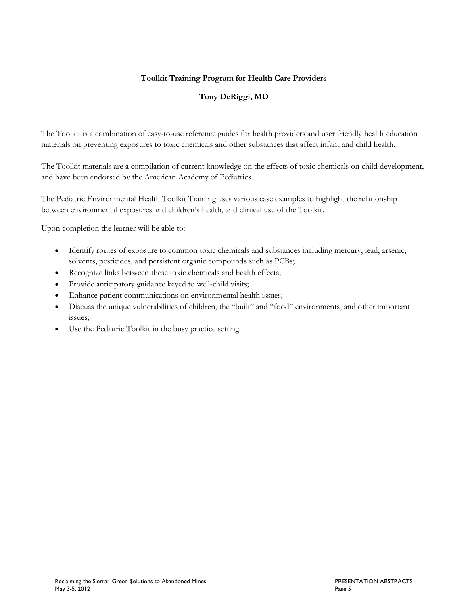## **Toolkit Training Program for Health Care Providers**

## **Tony DeRiggi, MD**

The Toolkit is a combination of easy-to-use reference guides for health providers and user friendly health education materials on preventing exposures to toxic chemicals and other substances that affect infant and child health.

The Toolkit materials are a compilation of current knowledge on the effects of toxic chemicals on child development, and have been endorsed by the American Academy of Pediatrics.

The Pediatric Environmental Health Toolkit Training uses various case examples to highlight the relationship between environmental exposures and children's health, and clinical use of the Toolkit.

Upon completion the learner will be able to:

- Identify routes of exposure to common toxic chemicals and substances including mercury, lead, arsenic, solvents, pesticides, and persistent organic compounds such as PCBs;
- Recognize links between these toxic chemicals and health effects;
- Provide anticipatory guidance keyed to well-child visits;
- Enhance patient communications on environmental health issues;
- Discuss the unique vulnerabilities of children, the "built" and "food" environments, and other important issues;
- Use the Pediatric Toolkit in the busy practice setting.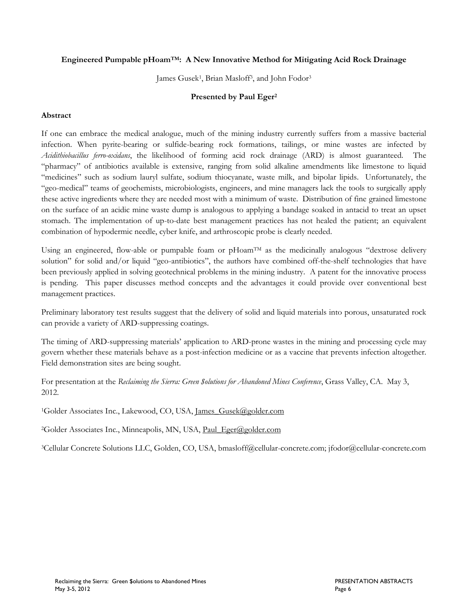#### **Engineered Pumpable pHoamTM: A New Innovative Method for Mitigating Acid Rock Drainage**

James Gusek<sup>1</sup>, Brian Masloff<sup>3</sup>, and John Fodor<sup>3</sup>

#### **Presented by Paul Eger<sup>2</sup>**

#### **Abstract**

If one can embrace the medical analogue, much of the mining industry currently suffers from a massive bacterial infection. When pyrite-bearing or sulfide-bearing rock formations, tailings, or mine wastes are infected by *Acidithiobacillus ferro-oxidans*, the likelihood of forming acid rock drainage (ARD) is almost guaranteed. The "pharmacy" of antibiotics available is extensive, ranging from solid alkaline amendments like limestone to liquid "medicines" such as sodium lauryl sulfate, sodium thiocyanate, waste milk, and bipolar lipids. Unfortunately, the "geo-medical" teams of geochemists, microbiologists, engineers, and mine managers lack the tools to surgically apply these active ingredients where they are needed most with a minimum of waste. Distribution of fine grained limestone on the surface of an acidic mine waste dump is analogous to applying a bandage soaked in antacid to treat an upset stomach. The implementation of up-to-date best management practices has not healed the patient; an equivalent combination of hypodermic needle, cyber knife, and arthroscopic probe is clearly needed.

Using an engineered, flow-able or pumpable foam or  $p$ Hoam<sup>TM</sup> as the medicinally analogous "dextrose delivery solution" for solid and/or liquid "geo-antibiotics", the authors have combined off-the-shelf technologies that have been previously applied in solving geotechnical problems in the mining industry. A patent for the innovative process is pending. This paper discusses method concepts and the advantages it could provide over conventional best management practices.

Preliminary laboratory test results suggest that the delivery of solid and liquid materials into porous, unsaturated rock can provide a variety of ARD-suppressing coatings.

The timing of ARD-suppressing materials' application to ARD-prone wastes in the mining and processing cycle may govern whether these materials behave as a post-infection medicine or as a vaccine that prevents infection altogether. Field demonstration sites are being sought.

For presentation at the *Reclaiming the Sierra: Green \$olutions for Abandoned Mines Conference*, Grass Valley, CA. May 3, 2012.

<sup>1</sup>Golder Associates Inc., Lakewood, CO, USA, James Gusek@golder.com

<sup>2</sup>Golder Associates Inc., Minneapolis, MN, USA, [Paul\\_Eger@golder.com](mailto:Paul_Eger@golder.com)

<sup>3</sup>Cellular Concrete Solutions LLC, Golden, CO, USA, bmasloff@cellular-concrete.com; jfodor@cellular-concrete.com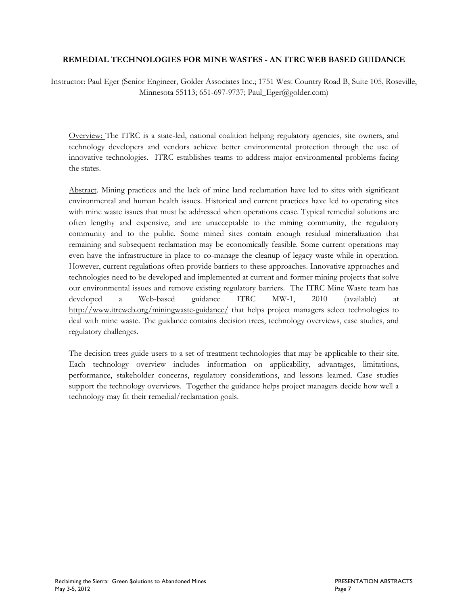#### **REMEDIAL TECHNOLOGIES FOR MINE WASTES - AN ITRC WEB BASED GUIDANCE**

Instructor: Paul Eger (Senior Engineer, Golder Associates Inc.; 1751 West Country Road B, Suite 105, Roseville, Minnesota 55113; 651-697-9737; Paul\_Eger@golder.com)

Overview: The ITRC is a state-led, national coalition helping regulatory agencies, site owners, and technology developers and vendors achieve better environmental protection through the use of innovative technologies. ITRC establishes teams to address major environmental problems facing the states.

Abstract. Mining practices and the lack of mine land reclamation have led to sites with significant environmental and human health issues. Historical and current practices have led to operating sites with mine waste issues that must be addressed when operations cease. Typical remedial solutions are often lengthy and expensive, and are unacceptable to the mining community, the regulatory community and to the public. Some mined sites contain enough residual mineralization that remaining and subsequent reclamation may be economically feasible. Some current operations may even have the infrastructure in place to co-manage the cleanup of legacy waste while in operation. However, current regulations often provide barriers to these approaches. Innovative approaches and technologies need to be developed and implemented at current and former mining projects that solve our environmental issues and remove existing regulatory barriers. The ITRC Mine Waste team has developed a Web-based guidance ITRC MW-1, 2010 (available) at <http://www.itrcweb.org/miningwaste-guidance/>that helps project managers select technologies to deal with mine waste. The guidance contains decision trees, technology overviews, case studies, and regulatory challenges.

The decision trees guide users to a set of treatment technologies that may be applicable to their site. Each technology overview includes information on applicability, advantages, limitations, performance, stakeholder concerns, regulatory considerations, and lessons learned. Case studies support the technology overviews. Together the guidance helps project managers decide how well a technology may fit their remedial/reclamation goals.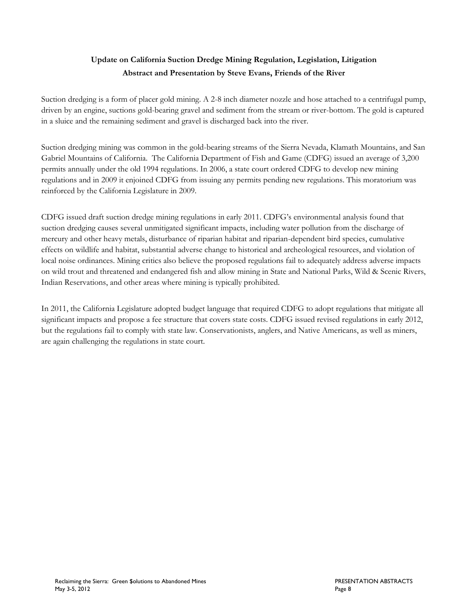## **Update on California Suction Dredge Mining Regulation, Legislation, Litigation Abstract and Presentation by Steve Evans, Friends of the River**

Suction dredging is a form of placer gold mining. A 2-8 inch diameter nozzle and hose attached to a centrifugal pump, driven by an engine, suctions gold-bearing gravel and sediment from the stream or river-bottom. The gold is captured in a sluice and the remaining sediment and gravel is discharged back into the river.

Suction dredging mining was common in the gold-bearing streams of the Sierra Nevada, Klamath Mountains, and San Gabriel Mountains of California. The California Department of Fish and Game (CDFG) issued an average of 3,200 permits annually under the old 1994 regulations. In 2006, a state court ordered CDFG to develop new mining regulations and in 2009 it enjoined CDFG from issuing any permits pending new regulations. This moratorium was reinforced by the California Legislature in 2009.

CDFG issued draft suction dredge mining regulations in early 2011. CDFG's environmental analysis found that suction dredging causes several unmitigated significant impacts, including water pollution from the discharge of mercury and other heavy metals, disturbance of riparian habitat and riparian-dependent bird species, cumulative effects on wildlife and habitat, substantial adverse change to historical and archeological resources, and violation of local noise ordinances. Mining critics also believe the proposed regulations fail to adequately address adverse impacts on wild trout and threatened and endangered fish and allow mining in State and National Parks, Wild & Scenic Rivers, Indian Reservations, and other areas where mining is typically prohibited.

In 2011, the California Legislature adopted budget language that required CDFG to adopt regulations that mitigate all significant impacts and propose a fee structure that covers state costs. CDFG issued revised regulations in early 2012, but the regulations fail to comply with state law. Conservationists, anglers, and Native Americans, as well as miners, are again challenging the regulations in state court.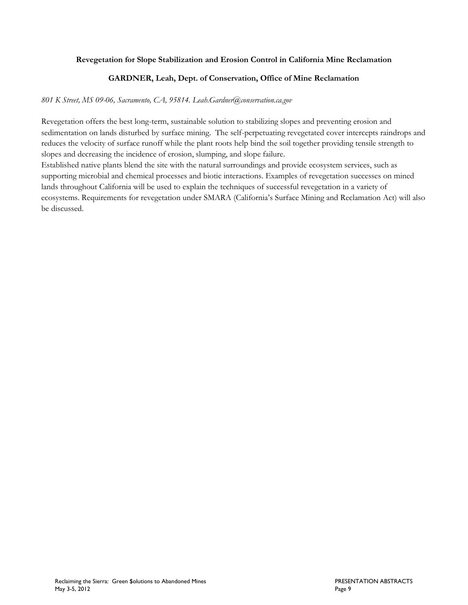#### **Revegetation for Slope Stabilization and Erosion Control in California Mine Reclamation**

#### **GARDNER, Leah, Dept. of Conservation, Office of Mine Reclamation**

#### *801 K Street, MS 09-06, Sacramento, CA, 95814. Leah.Gardner@conservation.ca.gov*

Revegetation offers the best long-term, sustainable solution to stabilizing slopes and preventing erosion and sedimentation on lands disturbed by surface mining. The self-perpetuating revegetated cover intercepts raindrops and reduces the velocity of surface runoff while the plant roots help bind the soil together providing tensile strength to slopes and decreasing the incidence of erosion, slumping, and slope failure.

Established native plants blend the site with the natural surroundings and provide ecosystem services, such as supporting microbial and chemical processes and biotic interactions. Examples of revegetation successes on mined lands throughout California will be used to explain the techniques of successful revegetation in a variety of ecosystems. Requirements for revegetation under SMARA (California's Surface Mining and Reclamation Act) will also be discussed.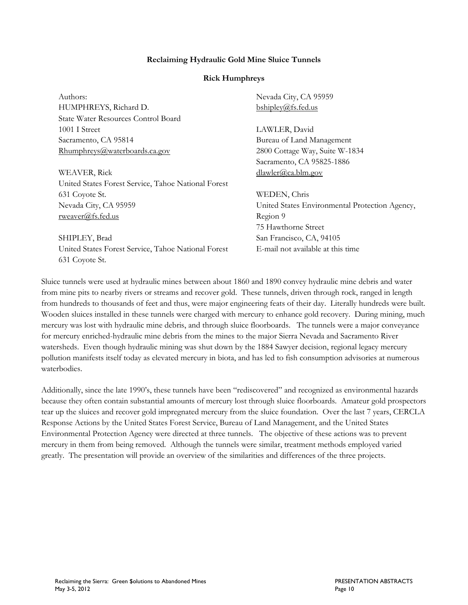#### **Reclaiming Hydraulic Gold Mine Sluice Tunnels**

#### **Rick Humphreys**

| Authors:                                            | Nevada City, CA 95959                          |
|-----------------------------------------------------|------------------------------------------------|
| HUMPHREYS, Richard D.                               | bshipley@fs.fed.us                             |
| State Water Resources Control Board                 |                                                |
| 1001 I Street                                       | LAWLER, David                                  |
| Sacramento, CA 95814                                | Bureau of Land Management                      |
| Rhumphreys@waterboards.ca.gov                       | 2800 Cottage Way, Suite W-1834                 |
|                                                     | Sacramento, CA 95825-1886                      |
| WEAVER, Rick                                        | dlawler@ca.blm.gov                             |
| United States Forest Service, Tahoe National Forest |                                                |
| 631 Coyote St.                                      | WEDEN, Chris                                   |
| Nevada City, CA 95959                               | United States Environmental Protection Agency, |
| rweaver@fs.fed.us                                   | Region 9                                       |
|                                                     | 75 Hawthorne Street                            |
| SHIPLEY, Brad                                       | San Francisco, CA, 94105                       |
| United States Forest Service, Tahoe National Forest | E-mail not available at this time              |
| 631 Coyote St.                                      |                                                |

Sluice tunnels were used at hydraulic mines between about 1860 and 1890 convey hydraulic mine debris and water from mine pits to nearby rivers or streams and recover gold. These tunnels, driven through rock, ranged in length from hundreds to thousands of feet and thus, were major engineering feats of their day. Literally hundreds were built. Wooden sluices installed in these tunnels were charged with mercury to enhance gold recovery. During mining, much mercury was lost with hydraulic mine debris, and through sluice floorboards. The tunnels were a major conveyance for mercury enriched-hydraulic mine debris from the mines to the major Sierra Nevada and Sacramento River watersheds. Even though hydraulic mining was shut down by the 1884 Sawyer decision, regional legacy mercury pollution manifests itself today as elevated mercury in biota, and has led to fish consumption advisories at numerous waterbodies.

Additionally, since the late 1990's, these tunnels have been "rediscovered" and recognized as environmental hazards because they often contain substantial amounts of mercury lost through sluice floorboards. Amateur gold prospectors tear up the sluices and recover gold impregnated mercury from the sluice foundation. Over the last 7 years, CERCLA Response Actions by the United States Forest Service, Bureau of Land Management, and the United States Environmental Protection Agency were directed at three tunnels. The objective of these actions was to prevent mercury in them from being removed. Although the tunnels were similar, treatment methods employed varied greatly. The presentation will provide an overview of the similarities and differences of the three projects.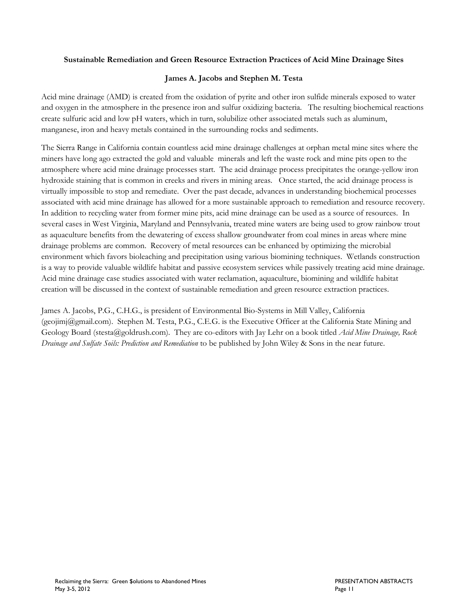#### **Sustainable Remediation and Green Resource Extraction Practices of Acid Mine Drainage Sites**

#### **James A. Jacobs and Stephen M. Testa**

Acid mine drainage (AMD) is created from the oxidation of pyrite and other iron sulfide minerals exposed to water and oxygen in the atmosphere in the presence iron and sulfur oxidizing bacteria. The resulting biochemical reactions create sulfuric acid and low pH waters, which in turn, solubilize other associated metals such as aluminum, manganese, iron and heavy metals contained in the surrounding rocks and sediments.

The Sierra Range in California contain countless acid mine drainage challenges at orphan metal mine sites where the miners have long ago extracted the gold and valuable minerals and left the waste rock and mine pits open to the atmosphere where acid mine drainage processes start. The acid drainage process precipitates the orange-yellow iron hydroxide staining that is common in creeks and rivers in mining areas. Once started, the acid drainage process is virtually impossible to stop and remediate. Over the past decade, advances in understanding biochemical processes associated with acid mine drainage has allowed for a more sustainable approach to remediation and resource recovery. In addition to recycling water from former mine pits, acid mine drainage can be used as a source of resources. In several cases in West Virginia, Maryland and Pennsylvania, treated mine waters are being used to grow rainbow trout as aquaculture benefits from the dewatering of excess shallow groundwater from coal mines in areas where mine drainage problems are common. Recovery of metal resources can be enhanced by optimizing the microbial environment which favors bioleaching and precipitation using various biomining techniques. Wetlands construction is a way to provide valuable wildlife habitat and passive ecosystem services while passively treating acid mine drainage. Acid mine drainage case studies associated with water reclamation, aquaculture, biomining and wildlife habitat creation will be discussed in the context of sustainable remediation and green resource extraction practices.

James A. Jacobs, P.G., C.H.G., is president of Environmental Bio-Systems in Mill Valley, California (geojimj@gmail.com). Stephen M. Testa, P.G., C.E.G. is the Executive Officer at the California State Mining and Geology Board (stesta@goldrush.com). They are co-editors with Jay Lehr on a book titled *Acid Mine Drainage, Rock Drainage and Sulfate Soils: Prediction and Remediation* to be published by John Wiley & Sons in the near future.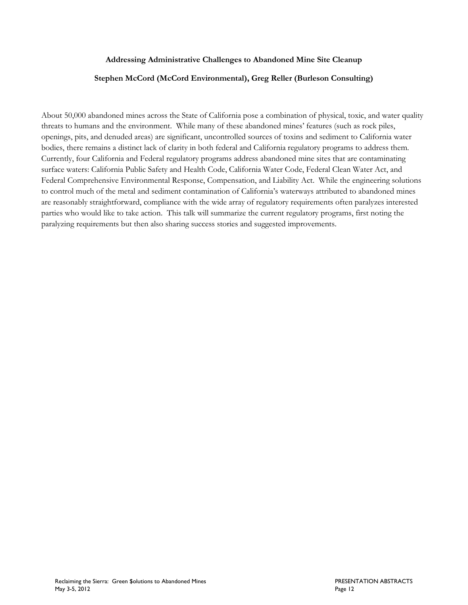#### **Addressing Administrative Challenges to Abandoned Mine Site Cleanup**

#### **Stephen McCord (McCord Environmental), Greg Reller (Burleson Consulting)**

About 50,000 abandoned mines across the State of California pose a combination of physical, toxic, and water quality threats to humans and the environment. While many of these abandoned mines' features (such as rock piles, openings, pits, and denuded areas) are significant, uncontrolled sources of toxins and sediment to California water bodies, there remains a distinct lack of clarity in both federal and California regulatory programs to address them. Currently, four California and Federal regulatory programs address abandoned mine sites that are contaminating surface waters: California Public Safety and Health Code, California Water Code, Federal Clean Water Act, and Federal Comprehensive Environmental Response, Compensation, and Liability Act. While the engineering solutions to control much of the metal and sediment contamination of California's waterways attributed to abandoned mines are reasonably straightforward, compliance with the wide array of regulatory requirements often paralyzes interested parties who would like to take action. This talk will summarize the current regulatory programs, first noting the paralyzing requirements but then also sharing success stories and suggested improvements.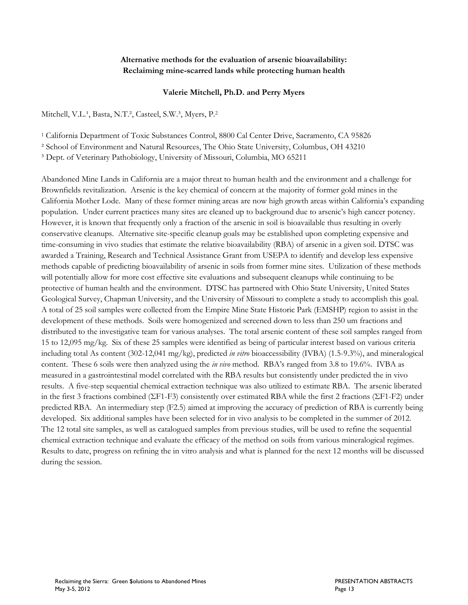#### **Alternative methods for the evaluation of arsenic bioavailability: Reclaiming mine-scarred lands while protecting human health**

#### **Valerie Mitchell, Ph.D. and Perry Myers**

Mitchell, V.L.<sup>1</sup>, Basta, N.T.<sup>2</sup>, Casteel, S.W.<sup>3</sup>, Myers, P.<sup>2</sup>

<sup>1</sup> California Department of Toxic Substances Control, 8800 Cal Center Drive, Sacramento, CA 95826

² School of Environment and Natural Resources, The Ohio State University, Columbus, OH 43210

³ Dept. of Veterinary Pathobiology, University of Missouri, Columbia, MO 65211

Abandoned Mine Lands in California are a major threat to human health and the environment and a challenge for Brownfields revitalization. Arsenic is the key chemical of concern at the majority of former gold mines in the California Mother Lode. Many of these former mining areas are now high growth areas within California's expanding population. Under current practices many sites are cleaned up to background due to arsenic's high cancer potency. However, it is known that frequently only a fraction of the arsenic in soil is bioavailable thus resulting in overly conservative cleanups. Alternative site-specific cleanup goals may be established upon completing expensive and time-consuming in vivo studies that estimate the relative bioavailability (RBA) of arsenic in a given soil. DTSC was awarded a Training, Research and Technical Assistance Grant from USEPA to identify and develop less expensive methods capable of predicting bioavailability of arsenic in soils from former mine sites. Utilization of these methods will potentially allow for more cost effective site evaluations and subsequent cleanups while continuing to be protective of human health and the environment. DTSC has partnered with Ohio State University, United States Geological Survey, Chapman University, and the University of Missouri to complete a study to accomplish this goal. A total of 25 soil samples were collected from the Empire Mine State Historic Park (EMSHP) region to assist in the development of these methods. Soils were homogenized and screened down to less than 250 um fractions and distributed to the investigative team for various analyses. The total arsenic content of these soil samples ranged from 15 to 12,095 mg/kg. Six of these 25 samples were identified as being of particular interest based on various criteria including total As content (302-12,041 mg/kg), predicted *in vitro* bioaccessibility (IVBA) (1.5-9.3%), and mineralogical content. These 6 soils were then analyzed using the *in vivo* method. RBA's ranged from 3.8 to 19.6%. IVBA as measured in a gastrointestinal model correlated with the RBA results but consistently under predicted the in vivo results. A five-step sequential chemical extraction technique was also utilized to estimate RBA. The arsenic liberated in the first 3 fractions combined ( $\Sigma$ F1-F3) consistently over estimated RBA while the first 2 fractions ( $\Sigma$ F1-F2) under predicted RBA. An intermediary step (F2.5) aimed at improving the accuracy of prediction of RBA is currently being developed. Six additional samples have been selected for in vivo analysis to be completed in the summer of 2012. The 12 total site samples, as well as catalogued samples from previous studies, will be used to refine the sequential chemical extraction technique and evaluate the efficacy of the method on soils from various mineralogical regimes. Results to date, progress on refining the in vitro analysis and what is planned for the next 12 months will be discussed during the session.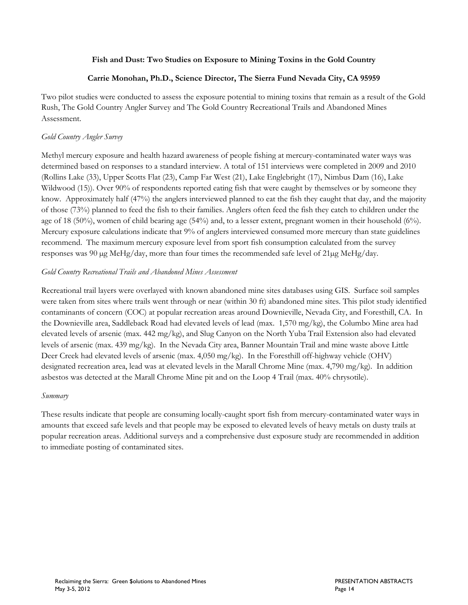#### **Fish and Dust: Two Studies on Exposure to Mining Toxins in the Gold Country**

#### **Carrie Monohan, Ph.D., Science Director, The Sierra Fund Nevada City, CA 95959**

Two pilot studies were conducted to assess the exposure potential to mining toxins that remain as a result of the Gold Rush, The Gold Country Angler Survey and The Gold Country Recreational Trails and Abandoned Mines Assessment.

#### *Gold Country Angler Survey*

Methyl mercury exposure and health hazard awareness of people fishing at mercury-contaminated water ways was determined based on responses to a standard interview. A total of 151 interviews were completed in 2009 and 2010 (Rollins Lake (33), Upper Scotts Flat (23), Camp Far West (21), Lake Englebright (17), Nimbus Dam (16), Lake Wildwood (15)). Over 90% of respondents reported eating fish that were caught by themselves or by someone they know. Approximately half (47%) the anglers interviewed planned to eat the fish they caught that day, and the majority of those (73%) planned to feed the fish to their families. Anglers often feed the fish they catch to children under the age of 18 (50%), women of child bearing age (54%) and, to a lesser extent, pregnant women in their household (6%). Mercury exposure calculations indicate that 9% of anglers interviewed consumed more mercury than state guidelines recommend. The maximum mercury exposure level from sport fish consumption calculated from the survey responses was 90 µg MeHg/day, more than four times the recommended safe level of 21µg MeHg/day.

#### *Gold Country Recreational Trails and Abandoned Mines Assessment*

Recreational trail layers were overlayed with known abandoned mine sites databases using GIS. Surface soil samples were taken from sites where trails went through or near (within 30 ft) abandoned mine sites. This pilot study identified contaminants of concern (COC) at popular recreation areas around Downieville, Nevada City, and Foresthill, CA. In the Downieville area, Saddleback Road had elevated levels of lead (max. 1,570 mg/kg), the Columbo Mine area had elevated levels of arsenic (max. 442 mg/kg), and Slug Canyon on the North Yuba Trail Extension also had elevated levels of arsenic (max. 439 mg/kg). In the Nevada City area, Banner Mountain Trail and mine waste above Little Deer Creek had elevated levels of arsenic (max. 4,050 mg/kg). In the Foresthill off-highway vehicle (OHV) designated recreation area, lead was at elevated levels in the Marall Chrome Mine (max. 4,790 mg/kg). In addition asbestos was detected at the Marall Chrome Mine pit and on the Loop 4 Trail (max. 40% chrysotile).

#### *Summary*

These results indicate that people are consuming locally-caught sport fish from mercury-contaminated water ways in amounts that exceed safe levels and that people may be exposed to elevated levels of heavy metals on dusty trails at popular recreation areas. Additional surveys and a comprehensive dust exposure study are recommended in addition to immediate posting of contaminated sites.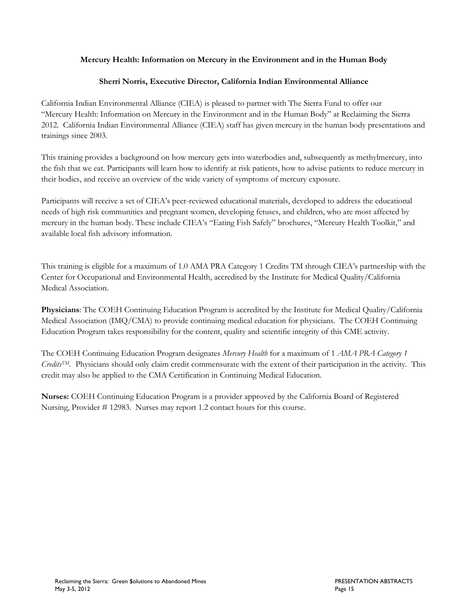#### **Mercury Health: Information on Mercury in the Environment and in the Human Body**

#### **Sherri Norris, Executive Director, California Indian Environmental Alliance**

California Indian Environmental Alliance (CIEA) is pleased to partner with The Sierra Fund to offer our "Mercury Health: Information on Mercury in the Environment and in the Human Body" at Reclaiming the Sierra 2012. California Indian Environmental Alliance (CIEA) staff has given mercury in the human body presentations and trainings since 2003.

This training provides a background on how mercury gets into waterbodies and, subsequently as methylmercury, into the fish that we eat. Participants will learn how to identify at risk patients, how to advise patients to reduce mercury in their bodies, and receive an overview of the wide variety of symptoms of mercury exposure.

Participants will receive a set of CIEA's peer-reviewed educational materials, developed to address the educational needs of high risk communities and pregnant women, developing fetuses, and children, who are most affected by mercury in the human body. These include CIEA's "Eating Fish Safely" brochures, "Mercury Health Toolkit," and available local fish advisory information.

This training is eligible for a maximum of 1.0 AMA PRA Category 1 Credits TM through CIEA's partnership with the Center for Occupational and Environmental Health, accredited by the Institute for Medical Quality/California Medical Association.

**Physicians**: The COEH Continuing Education Program is accredited by the Institute for Medical Quality/California Medical Association (IMQ/CMA) to provide continuing medical education for physicians. The COEH Continuing Education Program takes responsibility for the content, quality and scientific integrity of this CME activity.

The COEH Continuing Education Program designates *Mercury Health* for a maximum of 1 *AMA PRA Category 1 CreditsTM*. Physicians should only claim credit commensurate with the extent of their participation in the activity. This credit may also be applied to the CMA Certification in Continuing Medical Education.

**Nurses:** COEH Continuing Education Program is a provider approved by the California Board of Registered Nursing, Provider # 12983. Nurses may report 1.2 contact hours for this course.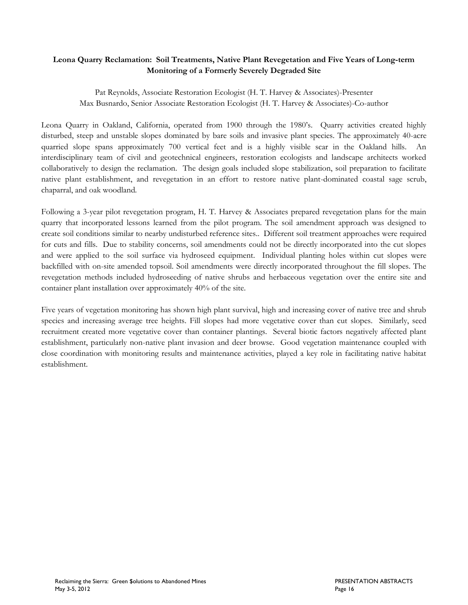#### **Leona Quarry Reclamation: Soil Treatments, Native Plant Revegetation and Five Years of Long-term Monitoring of a Formerly Severely Degraded Site**

Pat Reynolds, Associate Restoration Ecologist (H. T. Harvey & Associates)-Presenter Max Busnardo, Senior Associate Restoration Ecologist (H. T. Harvey & Associates)-Co-author

Leona Quarry in Oakland, California, operated from 1900 through the 1980's. Quarry activities created highly disturbed, steep and unstable slopes dominated by bare soils and invasive plant species. The approximately 40-acre quarried slope spans approximately 700 vertical feet and is a highly visible scar in the Oakland hills. interdisciplinary team of civil and geotechnical engineers, restoration ecologists and landscape architects worked collaboratively to design the reclamation. The design goals included slope stabilization, soil preparation to facilitate native plant establishment, and revegetation in an effort to restore native plant-dominated coastal sage scrub, chaparral, and oak woodland.

Following a 3-year pilot revegetation program, H. T. Harvey & Associates prepared revegetation plans for the main quarry that incorporated lessons learned from the pilot program. The soil amendment approach was designed to create soil conditions similar to nearby undisturbed reference sites.. Different soil treatment approaches were required for cuts and fills. Due to stability concerns, soil amendments could not be directly incorporated into the cut slopes and were applied to the soil surface via hydroseed equipment. Individual planting holes within cut slopes were backfilled with on-site amended topsoil. Soil amendments were directly incorporated throughout the fill slopes. The revegetation methods included hydroseeding of native shrubs and herbaceous vegetation over the entire site and container plant installation over approximately 40% of the site.

Five years of vegetation monitoring has shown high plant survival, high and increasing cover of native tree and shrub species and increasing average tree heights. Fill slopes had more vegetative cover than cut slopes. Similarly, seed recruitment created more vegetative cover than container plantings. Several biotic factors negatively affected plant establishment, particularly non-native plant invasion and deer browse. Good vegetation maintenance coupled with close coordination with monitoring results and maintenance activities, played a key role in facilitating native habitat establishment.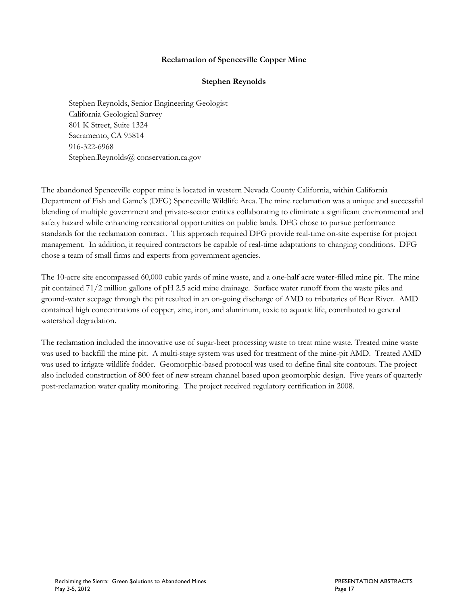#### **Reclamation of Spenceville Copper Mine**

#### **Stephen Reynolds**

Stephen Reynolds, Senior Engineering Geologist California Geological Survey 801 K Street, Suite 1324 Sacramento, CA 95814 916-322-6968 Stephen.Reynolds@ conservation.ca.gov

The abandoned Spenceville copper mine is located in western Nevada County California, within California Department of Fish and Game's (DFG) Spenceville Wildlife Area. The mine reclamation was a unique and successful blending of multiple government and private-sector entities collaborating to eliminate a significant environmental and safety hazard while enhancing recreational opportunities on public lands. DFG chose to pursue performance standards for the reclamation contract. This approach required DFG provide real-time on-site expertise for project management. In addition, it required contractors be capable of real-time adaptations to changing conditions. DFG chose a team of small firms and experts from government agencies.

The 10-acre site encompassed 60,000 cubic yards of mine waste, and a one-half acre water-filled mine pit. The mine pit contained 71/2 million gallons of pH 2.5 acid mine drainage. Surface water runoff from the waste piles and ground-water seepage through the pit resulted in an on-going discharge of AMD to tributaries of Bear River. AMD contained high concentrations of copper, zinc, iron, and aluminum, toxic to aquatic life, contributed to general watershed degradation.

The reclamation included the innovative use of sugar-beet processing waste to treat mine waste. Treated mine waste was used to backfill the mine pit. A multi-stage system was used for treatment of the mine-pit AMD. Treated AMD was used to irrigate wildlife fodder. Geomorphic-based protocol was used to define final site contours. The project also included construction of 800 feet of new stream channel based upon geomorphic design. Five years of quarterly post-reclamation water quality monitoring. The project received regulatory certification in 2008.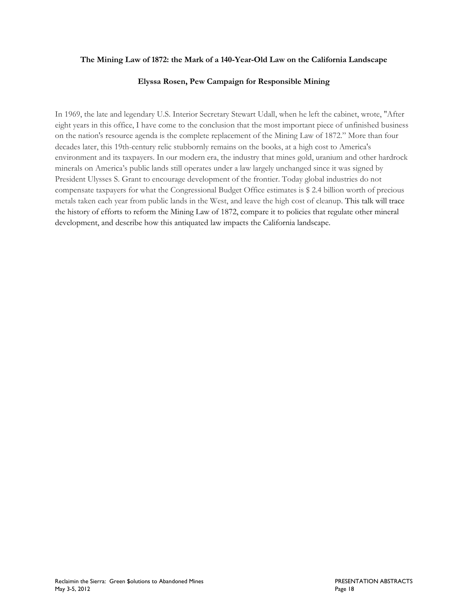#### **The Mining Law of 1872: the Mark of a 140-Year-Old Law on the California Landscape**

#### **Elyssa Rosen, Pew Campaign for Responsible Mining**

In 1969, the late and legendary U.S. Interior Secretary Stewart Udall, when he left the cabinet, wrote, "After eight years in this office, I have come to the conclusion that the most important piece of unfinished business on the nation's resource agenda is the complete replacement of the Mining Law of 1872." More than four decades later, this 19th-century relic stubbornly remains on the books, at a high cost to America's environment and its taxpayers. In our modern era, the industry that mines gold, uranium and other hardrock minerals on America's public lands still operates under a law largely unchanged since it was signed by President Ulysses S. Grant to encourage development of the frontier. Today global industries do not compensate taxpayers for what the Congressional Budget Office estimates is \$ 2.4 billion worth of precious metals taken each year from public lands in the West, and leave the high cost of cleanup. This talk will trace the history of efforts to reform the Mining Law of 1872, compare it to policies that regulate other mineral development, and describe how this antiquated law impacts the California landscape.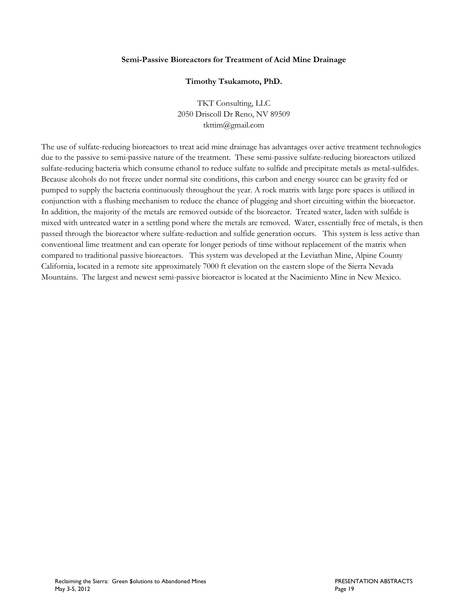#### **Semi-Passive Bioreactors for Treatment of Acid Mine Drainage**

#### **Timothy Tsukamoto, PhD.**

TKT Consulting, LLC 2050 Driscoll Dr Reno, NV 89509 tkttim@gmail.com

The use of sulfate-reducing bioreactors to treat acid mine drainage has advantages over active treatment technologies due to the passive to semi-passive nature of the treatment. These semi-passive sulfate-reducing bioreactors utilized sulfate-reducing bacteria which consume ethanol to reduce sulfate to sulfide and precipitate metals as metal-sulfides. Because alcohols do not freeze under normal site conditions, this carbon and energy source can be gravity fed or pumped to supply the bacteria continuously throughout the year. A rock matrix with large pore spaces is utilized in conjunction with a flushing mechanism to reduce the chance of plugging and short circuiting within the bioreactor. In addition, the majority of the metals are removed outside of the bioreactor. Treated water, laden with sulfide is mixed with untreated water in a settling pond where the metals are removed. Water, essentially free of metals, is then passed through the bioreactor where sulfate-reduction and sulfide generation occurs. This system is less active than conventional lime treatment and can operate for longer periods of time without replacement of the matrix when compared to traditional passive bioreactors. This system was developed at the Leviathan Mine, Alpine County California, located in a remote site approximately 7000 ft elevation on the eastern slope of the Sierra Nevada Mountains. The largest and newest semi-passive bioreactor is located at the Nacimiento Mine in New Mexico.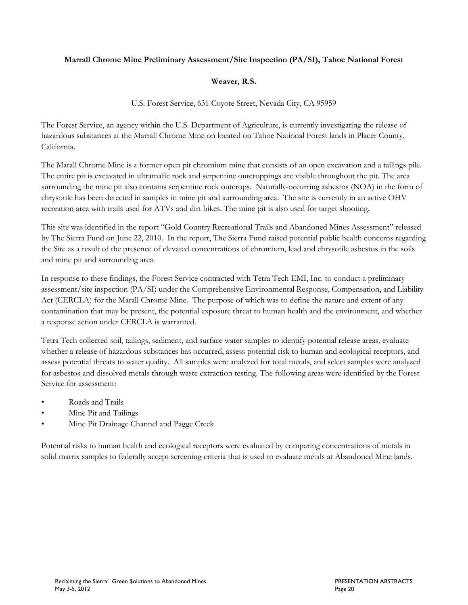#### **Marrall Chrome Mine Preliminary Assessment/Site Inspection (PA/SI), Tahoe National Forest**

#### **Weaver, R.S.**

U.S. Forest Service, 631 Coyote Street, Nevada City, CA 95959

The Forest Service, an agency within the U.S. Department of Agriculture, is currently investigating the release of hazardous substances at the Marrall Chrome Mine on located on Tahoe National Forest lands in Placer County, California.

The Marall Chrome Mine is a former open pit chromium mine that consists of an open excavation and a tailings pile. The entire pit is excavated in ultramafic rock and serpentine outcroppings are visible throughout the pit. The area surrounding the mine pit also contains serpentine rock outcrops. Naturally-occurring asbestos (NOA) in the form of chrysotile has been detected in samples in mine pit and surrounding area. The site is currently in an active OHV recreation area with trails used for ATVs and dirt bikes. The mine pit is also used for target shooting.

This site was identified in the report "Gold Country Recreational Trails and Abandoned Mines Assessment" released by The Sierra Fund on June 22, 2010. In the report, The Sierra Fund raised potential public health concerns regarding the Site as a result of the presence of elevated concentrations of chromium, lead and chrysotile asbestos in the soils and mine pit and surrounding area.

In response to these findings, the Forest Service contracted with Tetra Tech EMI, Inc. to conduct a preliminary assessment/site inspection (PA/SI) under the Comprehensive Environmental Response, Compensation, and Liability Act (CERCLA) for the Marall Chrome Mine. The purpose of which was to define the nature and extent of any contamination that may be present, the potential exposure threat to human health and the environment, and whether a response action under CERCLA is warranted.

Tetra Tech collected soil, tailings, sediment, and surface water samples to identify potential release areas, evaluate whether a release of hazardous substances has occurred, assess potential risk to human and ecological receptors, and assess potential threats to water quality. All samples were analyzed for total metals, and select samples were analyzed for asbestos and dissolved metals through waste extraction testing. The following areas were identified by the Forest Service for assessment:

- Roads and Trails
- Mine Pit and Tailings
- Mine Pit Drainage Channel and Pagge Creek

Potential risks to human health and ecological receptors were evaluated by comparing concentrations of metals in solid matrix samples to federally accept screening criteria that is used to evaluate metals at Abandoned Mine lands.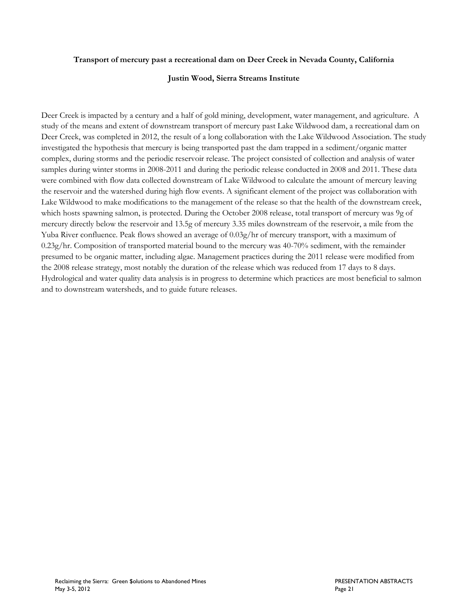#### **Transport of mercury past a recreational dam on Deer Creek in Nevada County, California**

#### **Justin Wood, Sierra Streams Institute**

Deer Creek is impacted by a century and a half of gold mining, development, water management, and agriculture. A study of the means and extent of downstream transport of mercury past Lake Wildwood dam, a recreational dam on Deer Creek, was completed in 2012, the result of a long collaboration with the Lake Wildwood Association. The study investigated the hypothesis that mercury is being transported past the dam trapped in a sediment/organic matter complex, during storms and the periodic reservoir release. The project consisted of collection and analysis of water samples during winter storms in 2008-2011 and during the periodic release conducted in 2008 and 2011. These data were combined with flow data collected downstream of Lake Wildwood to calculate the amount of mercury leaving the reservoir and the watershed during high flow events. A significant element of the project was collaboration with Lake Wildwood to make modifications to the management of the release so that the health of the downstream creek, which hosts spawning salmon, is protected. During the October 2008 release, total transport of mercury was 9g of mercury directly below the reservoir and 13.5g of mercury 3.35 miles downstream of the reservoir, a mile from the Yuba River confluence. Peak flows showed an average of 0.03g/hr of mercury transport, with a maximum of 0.23g/hr. Composition of transported material bound to the mercury was 40-70% sediment, with the remainder presumed to be organic matter, including algae. Management practices during the 2011 release were modified from the 2008 release strategy, most notably the duration of the release which was reduced from 17 days to 8 days. Hydrological and water quality data analysis is in progress to determine which practices are most beneficial to salmon and to downstream watersheds, and to guide future releases.